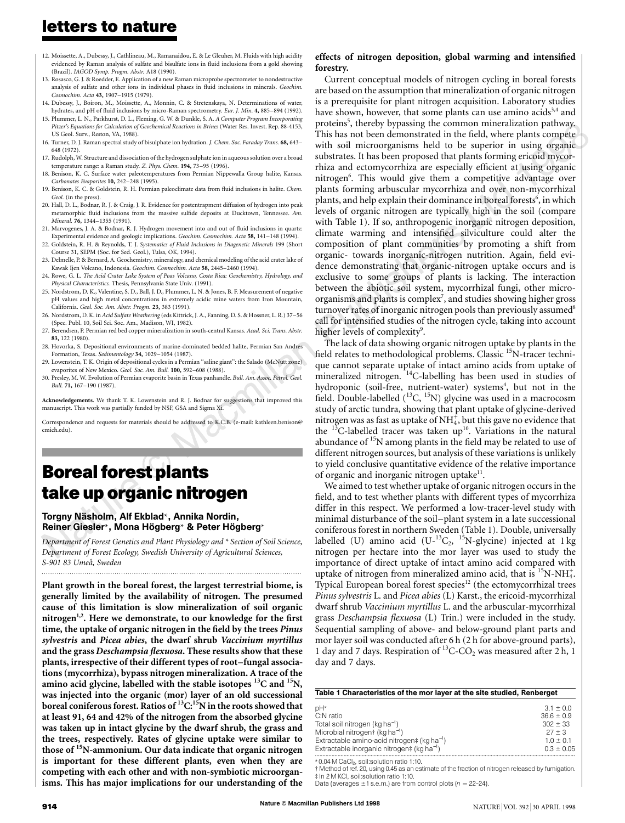## **letters to nature**

- 12. Moissette, A., Dubessy, J., Cathlineau, M., Ramanaidou, E. & Le Gleuher, M. Fluids with high acidity evidenced by Raman analysis of sulfate and bisulfate ions in fluid inclusions from a gold showing (Brazil). *IAGOD Symp. Progm. Abstr.* A18 (1990).
- 13. Rosasco, G. J. & Roedder, E. Application of a new Raman microprobe spectrometer to nondestructive analysis of sulfate and other ions in individual phases in fluid inclusions in minerals. *Geochim. Cosmochim. Acta* **43,** 1907–1915 (1979).
- 14. Dubessy, J., Boiron, M., Moissette, A., Monnin, C. & Stretenskaya, N. Determinations of water,
- hydrates, and pH of fluid inclusions by micro-Raman spectrometry. *Eur. J. Min.* **4,** 885–894 (1992). 15. Plummer, L. N., Parkhurst, D. L., Fleming, G. W. & Dunkle, S. A. *A Computer Program Incorporating Pitzer's Equations for Calculation of Geochemical Reactions in Brines* (Water Res. Invest. Rep. 88-4153, US Geol. Surv., Reston, VA, 1988).
- 16. Turner, D. J. Raman spectral study of bisulphate ion hydration. *J. Chem. Soc. Faraday Trans.* **68,** 643– 648 (1972).
- 17. Rudolph, W. Structure and dissociation of the hydrogen sulphate ion in aqueous solution over a broad temperature range: a Raman study. *Z. Phys. Chem.* **194,** 73–95 (1996).
- 18. Benison, K. C. Surface water paleotemperatures from Permian Nippewalla Group halite, Kansas. *Carbonates Evaporites* **10,** 242–248 (1995).
- 19. Benison, K. C. & Goldstein, R. H. Permian paleoclimate data from fluid inclusions in halite. *Chem. Geol.* (in the press).
- 20. Hall, D. L., Bodnar, R. J. & Craig, J. R. Evidence for postentrapment diffusion of hydrogen into peak metamorphic fluid inclusions from the massive sulfide deposits at Ducktown, Tennessee. *Am. Mineral.* **76,** 1344–1355 (1991).
- 21. Marvogenes, J. A. & Bodnar, R. J. Hydrogen movement into and out of fluid inclusions in quartz:
- Experimental evidence and geologic implications. *Geochim. Cosmochim. Acta* **58,** 141–148 (1994). 22. Goldstein, R. H. & Reynolds, T. J. Systematics of Fluid Inclusions in Diagenetic Minerals 199 (Short Course 31, SEPM (Soc. for Sed. Geol.), Tulsa, OK, 1994).
- 23. Delmelle, P. & Bernard, A. Geochemistry, mineralogy, and chemical modeling of the acid crater lake of Kawak Ijen Volcano, Indonesia. *Geochim. Cosmochim. Acta* **58,** 2445–2460 (1994).
- 24. Rowe, G. L. *The Acid Crater Lake System of Poas Volcano, Costa Rica: Geochemistry, Hydrology, and Physical Characteristics.* Thesis, Pennsylvania State Univ. (1991).
- 25. Nordstrom, D. K., Valentine, S. D., Ball, J. D., Plummer, L. N. & Jones, B. F. Measurement of negative pH values and high metal concentrations in extremely acidic mine waters from Iron Mountain, California. *Geol. Soc. Am. Abstr. Progm.* **23,** 383 (1991).
- 26. Nordstrom, D. K. in *Acid Sulfate Weathering* (eds Kittrick, J. A., Fanning, D. S. & Hossner, L. R.) 37–56 (Spec. Publ. 10, Soil Sci. Soc. Am., Madison, WI, 1982).
- 27. Berendsen, P. Permian red bed copper mineralization in south-central Kansas. *Acad. Sci. Trans. Abstr.* **83,** 122 (1980).
- 28. Hovorka, S. Depositional environments of marine-dominated bedded halite, Permian San Andres Formation, Texas. *Sedimentology* **34,** 1029–1054 (1987).
- 29. Lowenstein, T. K. Origin of depositional cycles in a Permian "saline giant": the Salado (McNutt zone) evaporites of New Mexico. *Geol. Soc. Am. Bull.* **100,** 592–608 (1988).
- 30. Presley, M. W. Evolution of Permian evaporite basin in Texas panhandle. *Bull. Am. Assoc. Petrol. Geol. Bull.* **71,** 167–190 (1987).

**Acknowledgements.** We thank T. K. Lowenstein and R. J. Bodnar for suggestions that improved this manuscript. This work was partially funded by NSF, GSA and Sigma Xi.

Correspondence and requests for materials should be addressed to K.C.B. (e-mail: kathleen.benison@ cmich.edu).

# **Boreal forest plants take up organic nitrogen**

#### Torgny Näsholm, Alf Ekblad<sup>∗</sup>, Annika Nordin, Reiner Giesler\*, Mona Högberg\* & Peter Högberg\*

*Department of Forest Genetics and Plant Physiology and* \* *Section of Soil Science, Department of Forest Ecology, Swedish University of Agricultural Sciences, S-901 83 Umea˚, Sweden .........................................................................................................................*

**Plant growth in the boreal forest, the largest terrestrial biome, is generally limited by the availability of nitrogen. The presumed cause of this limitation is slow mineralization of soil organic nitrogen1,2. Here we demonstrate, to our knowledge for the first time, the uptake of organic nitrogen in the field by the trees** *Pinus sylvestris* **and** *Picea abies***, the dwarf shrub** *Vaccinium myrtillus* **and the grass** *Deschampsia flexuosa***. These results show that these plants, irrespective of their different types of root–fungal associations (mycorrhiza), bypass nitrogen mineralization. A trace of the amino acid glycine, labelled with the stable isotopes 13C and 15N, was injected into the organic (mor) layer of an old successional boreal coniferous forest. Ratios of 13C:15N in the roots showed that at least 91, 64 and 42% of the nitrogen from the absorbed glycine was taken up in intact glycine by the dwarf shrub, the grass and the trees, respectively. Rates of glycine uptake were similar to those of 15N-ammonium. Our data indicate that organic nitrogen is important for these different plants, even when they are competing with each other and with non-symbiotic microorganisms. This has major implications for our understanding of the**

#### **effects of nitrogen deposition, global warming and intensified forestry.**

vay.<br>bete<br>unic Current conceptual models of nitrogen cycling in boreal forests are based on the assumption that mineralization of organic nitrogen is a prerequisite for plant nitrogen acquisition. Laboratory studies have shown, however, that some plants can use amino acids<sup>3,4</sup> and proteins<sup>5</sup>, thereby bypassing the common mineralization pathway. This has not been demonstrated in the field, where plants compete with soil microorganisms held to be superior in using organic substrates. It has been proposed that plants forming ericoid mycorrhiza and ectomycorrhiza are especially efficient at using organic nitrogen<sup>6</sup>. This would give them a competitive advantage over plants forming arbuscular mycorrhiza and over non-mycorrhizal plants, and help explain their dominance in boreal forests<sup>6</sup>, in which levels of organic nitrogen are typically high in the soil (compare with Table 1). If so, anthropogenic inorganic nitrogen deposition, climate warming and intensified silviculture could alter the composition of plant communities by promoting a shift from organic- towards inorganic-nitrogen nutrition. Again, field evidence demonstrating that organic-nitrogen uptake occurs and is exclusive to some groups of plants is lacking. The interaction between the abiotic soil system, mycorrhizal fungi, other microorganisms and plants is complex<sup>7</sup>, and studies showing higher gross turnover rates of inorganic nitrogen pools than previously assumed<sup>8</sup> call for intensified studies of the nitrogen cycle, taking into account higher levels of complexity<sup>9</sup>.

The lack of data showing organic nitrogen uptake by plants in the field relates to methodological problems. Classic <sup>15</sup>N-tracer technique cannot separate uptake of intact amino acids from uptake of mineralized nitrogen. <sup>14</sup>C-labelling has been used in studies of hydroponic (soil-free, nutrient-water) systems<sup>4</sup>, but not in the field. Double-labelled  $(^{13}C, ^{15}N)$  glycine was used in a macrocosm study of arctic tundra, showing that plant uptake of glycine-derived nitrogen was as fast as uptake of NH $_4^\ddag$ , but this gave no evidence that the  $^{13}$ C-labelled tracer was taken up<sup>10</sup>. Variations in the natural abundance of <sup>15</sup>N among plants in the field may be related to use of different nitrogen sources, but analysis of these variations is unlikely to yield conclusive quantitative evidence of the relative importance of organic and inorganic nitrogen uptake<sup>11</sup>.

We aimed to test whether uptake of organic nitrogen occurs in the field, and to test whether plants with different types of mycorrhiza differ in this respect. We performed a low-tracer-level study with minimal disturbance of the soil–plant system in a late successional coniferous forest in northern Sweden (Table 1). Double, universally labelled (U) amino acid (U- ${}^{13}C_2$ ,  ${}^{15}N$ -glycine) injected at 1 kg nitrogen per hectare into the mor layer was used to study the importance of direct uptake of intact amino acid compared with uptake of nitrogen from mineralized amino acid, that is  ${}^{15}N\text{-}NH_4^+$ . Typical European boreal forest species<sup>12</sup> (the ectomycorrhizal trees *Pinus sylvestris* L. and *Picea abies* (L) Karst., the ericoid-mycorrhizal dwarf shrub *Vaccinium myrtillus* L. and the arbuscular-mycorrhizal grass *Deschampsia flexuosa* (L) Trin.) were included in the study. Sequential sampling of above- and below-ground plant parts and mor layer soil was conducted after 6 h (2 h for above-ground parts), 1 day and 7 days. Respiration of  $^{13}$ C-CO<sub>2</sub> was measured after 2 h, 1 day and 7 days.

| Table 1 Characteristics of the mor layer at the site studied, Renberget |                |  |  |  |
|-------------------------------------------------------------------------|----------------|--|--|--|
| pH*                                                                     | $3.1 \pm 0.0$  |  |  |  |
| C:N ratio                                                               | $36.6 \pm 0.9$ |  |  |  |
| Total soil nitrogen (kg ha <sup>-1</sup> )                              | $302 \pm 33$   |  |  |  |
| Microbial nitrogen† (kg ha <sup>-1</sup> )                              | $27 + 3$       |  |  |  |
| Extractable amino-acid nitrogen‡ (kg ha <sup>-1</sup> )                 | $1.0 \pm 0.1$  |  |  |  |
| Extractable inorganic nitrogen‡ (kg ha <sup>-1</sup> )                  | $0.3 \pm 0.05$ |  |  |  |
|                                                                         |                |  |  |  |

\* 0.04 M CaCl2, soil:solution ratio 1:10.

† Method of ref. 20, using 0.45 as an estimate of the fraction of nitrogen released by fumigation. ‡ In 2 M KCl, soil:solution ratio 1:10.

Data (averages  $\pm$ 1 s.e.m.) are from control plots ( $n = 22-24$ ).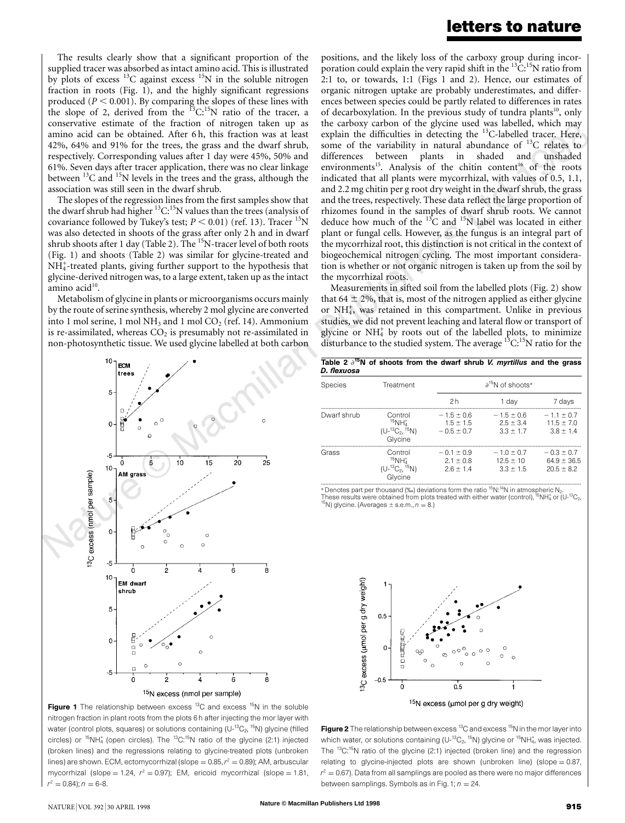The results clearly show that a significant proportion of the supplied tracer was absorbed as intact amino acid. This is illustrated by plots of excess  $^{13}$ C against excess  $^{15}$ N in the soluble nitrogen fraction in roots (Fig. 1), and the highly significant regressions produced  $(P \le 0.001)$ . By comparing the slopes of these lines with the slope of 2, derived from the  ${}^{13}C_{1}{}^{15}N$  ratio of the tracer, a conservative estimate of the fraction of nitrogen taken up as amino acid can be obtained. After 6 h, this fraction was at least 42%, 64% and 91% for the trees, the grass and the dwarf shrub, respectively. Corresponding values after 1 day were 45%, 50% and 61%. Seven days after tracer application, there was no clear linkage between  $^{13}$ C and  $^{15}$ N levels in the trees and the grass, although the association was still seen in the dwarf shrub.

The slopes of the regression lines from the first samples show that the dwarf shrub had higher  ${}^{13}C$ :<sup>15</sup>N values than the trees (analysis of covariance followed by Tukey's test;  $P \le 0.01$ ) (ref. 13). Tracer <sup>15</sup>N was also detected in shoots of the grass after only 2 h and in dwarf shrub shoots after 1 day (Table 2). The <sup>15</sup>N-tracer level of both roots (Fig. 1) and shoots (Table 2) was similar for glycine-treated and NH<sup>+</sup>-treated plants, giving further support to the hypothesis that glycine-derived nitrogenwas, to a large extent, taken up as the intact amino acid $10$ .

Metabolism of glycine in plants or microorganisms occurs mainly by the route of serine synthesis, whereby 2 mol glycine are converted into 1 mol serine, 1 mol NH<sub>3</sub> and 1 mol  $CO<sub>2</sub>$  (ref. 14). Ammonium is re-assimilated, whereas  $CO<sub>2</sub>$  is presumably not re-assimilated in non-photosynthetic tissue. We used glycine labelled at both carbon

10 **FCM** trees  $\Omega$ -5  $\Omega$ É юĊ 15 20  $25$  $10$ AM gras <sup>3</sup>C excess (nmol per sample) 5  $\mathbf{c}$  $\epsilon$  $-5$  $\dot{o}$  $\dot{2}$  $\acute{6}$  $\overline{8}$  $10$ **EM dwart** shrub 5 C ò Ġ  $\dot{8}$ 

<sup>15</sup>N excess (nmol per sample)

the carboxy carbon of the glycine used was labelled, which may<br>explain the difficulties in detecting the  $^{13}$ C-labelled tracer. Here,<br>some of the variability in natural abundance of  $^{13}$ C relates to positions, and the likely loss of the carboxy group during incorporation could explain the very rapid shift in the  $^{13}C^{15}N$  ratio from 2:1 to, or towards, 1:1 (Figs 1 and 2). Hence, our estimates of organic nitrogen uptake are probably underestimates, and differences between species could be partly related to differences in rates of decarboxylation. In the previous study of tundra plants<sup>10</sup>, only the carboxy carbon of the glycine used was labelled, which may some of the variability in natural abundance of  ${}^{13}C$  relates to differences between plants in shaded and unshaded environments<sup>15</sup>. Analysis of the chitin content<sup>16</sup> of the roots indicated that all plants were mycorrhizal, with values of 0.5, 1.1, and 2.2 mg chitin per g root dry weight in the dwarf shrub, the grass and the trees, respectively. These data reflect the large proportion of rhizomes found in the samples of dwarf shrub roots. We cannot deduce how much of the  $13^{\circ}$ C and  $15^{\circ}$ N label was located in either plant or fungal cells. However, as the fungus is an integral part of the mycorrhizal root, this distinction is not critical in the context of biogeochemical nitrogen cycling. The most important consideration is whether or not organic nitrogen is taken up from the soil by the mycorrhizal roots.

Measurements in sifted soil from the labelled plots (Fig. 2) show that 64  $\pm$  2%, that is, most of the nitrogen applied as either glycine or NH<sub>4</sub>, was retained in this compartment. Unlike in previous studies, we did not prevent leaching and lateral flow or transport of glycine or  $NH<sub>4</sub><sup>+</sup>$  by roots out of the labelled plots, to minimize disturbance to the studied system. The average  ${}^{13}C$ :<sup>15</sup>N ratio for the

| Table 2 $\partial^{15}N$ of shoots from the dwarf shrub <i>V. myrtillus</i> and the grass |  |  |  |  |  |
|-------------------------------------------------------------------------------------------|--|--|--|--|--|
| D. flexuosa                                                                               |  |  |  |  |  |
|                                                                                           |  |  |  |  |  |

| Species     | Treatment                                                            |                                             | $\partial^{15}N$ of shoots*                   |                                                     |  |  |
|-------------|----------------------------------------------------------------------|---------------------------------------------|-----------------------------------------------|-----------------------------------------------------|--|--|
|             |                                                                      | 2h                                          | 1 day                                         | 7 days                                              |  |  |
| Dwarf shrub | Control<br>$15$ NH $_{4}^{+}$<br>$(U^{-13}C_2, {}^{15}N)$<br>Glycine | $-15+06$<br>$1.5 \pm 1.5$<br>$-0.5 \pm 0.7$ | $-15+06$<br>$25 + 34$<br>$3.3 \pm 1.7$        | $-1.1 \pm 0.7$<br>$11.5 \pm 7.0$<br>$3.8 \pm 1.4$   |  |  |
| Grass       | Control<br>$15$ NH $_{4}^{+}$<br>$(U^{-13}C_2, {}^{15}N)$<br>Glvcine | $-01 + 09$<br>$21 + 08$<br>$26 + 14$        | $-1.0 \pm 0.7$<br>$125 + 10$<br>$3.3 \pm 1.5$ | $-0.3 \pm 0.7$<br>$64.9 \pm 36.5$<br>$20.5 \pm 8.2$ |  |  |

Glycine<br>"Denotes part per thousand (‰) deviations form the ratio <sup>15</sup>N:<sup>14</sup>N in atmospheric N<sub>2</sub>.<br>These results were obtained from plots treated with either water (control), <sup>15</sup>NH4 or (U-<sup>13</sup>C<sub>2</sub>,<br><sup>15</sup>NJ alvaine (Averagos  $^{15}$ N) glycine. (Averages  $\pm$  s.e.m.,  $n = 8$ .)





**Figure 2** The relationship between excess <sup>13</sup>C and excess <sup>15</sup>N in the mor layer into which water, or solutions containing (U- $^{13}$ C<sub>2</sub>,  $^{15}$ N) glycine or  $^{15}$ NH $^{\ast}_{4}$ , was injected. The <sup>13</sup>C:<sup>15</sup>N ratio of the glycine (2:1) injected (broken line) and the regression relating to glycine-injected plots are shown (unbroken line) (slope  $= 0.87$ ,  $r^2 = 0.67$ ). Data from all samplings are pooled as there were no major differences between samplings. Symbols as in Fig. 1;  $n = 24$ .